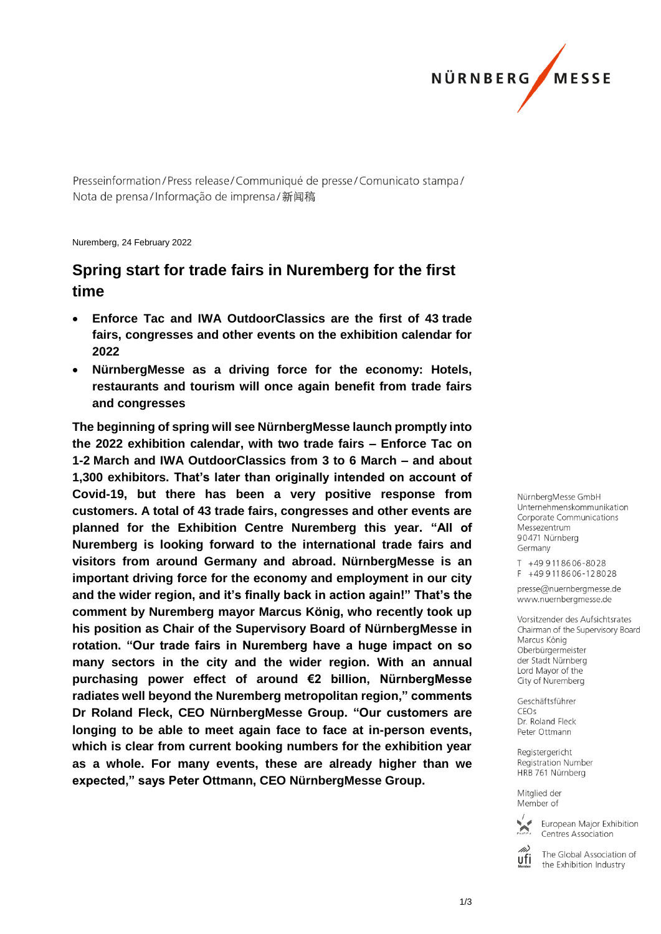

Presseinformation/Press release/Communiqué de presse/Comunicato stampa/ Nota de prensa/Informação de imprensa/新闻稿

Nuremberg, 24 February 2022

# **Spring start for trade fairs in Nuremberg for the first time**

- **Enforce Tac and IWA OutdoorClassics are the first of 43 trade fairs, congresses and other events on the exhibition calendar for 2022**
- **NürnbergMesse as a driving force for the economy: Hotels, restaurants and tourism will once again benefit from trade fairs and congresses**

**The beginning of spring will see NürnbergMesse launch promptly into the 2022 exhibition calendar, with two trade fairs – Enforce Tac on 1-2 March and IWA OutdoorClassics from 3 to 6 March – and about 1,300 exhibitors. That's later than originally intended on account of Covid-19, but there has been a very positive response from customers. A total of 43 trade fairs, congresses and other events are planned for the Exhibition Centre Nuremberg this year. "All of Nuremberg is looking forward to the international trade fairs and visitors from around Germany and abroad. NürnbergMesse is an important driving force for the economy and employment in our city and the wider region, and it's finally back in action again!" That's the comment by Nuremberg mayor Marcus König, who recently took up his position as Chair of the Supervisory Board of NürnbergMesse in rotation. "Our trade fairs in Nuremberg have a huge impact on so many sectors in the city and the wider region. With an annual purchasing power effect of around €2 billion, NürnbergMesse radiates well beyond the Nuremberg metropolitan region," comments Dr Roland Fleck, CEO NürnbergMesse Group. "Our customers are longing to be able to meet again face to face at in-person events, which is clear from current booking numbers for the exhibition year as a whole. For many events, these are already higher than we expected," says Peter Ottmann, CEO NürnbergMesse Group.**

NürnbergMesse GmbH Unternehmenskommunikation Corporate Communications Messezentrum 90471 Nürnberg Germany

T +49 911 86 06 - 80 28  $F + 499118606 - 128028$ 

presse@nuernbergmesse.de www.nuernbergmesse.de

Vorsitzender des Aufsichtsrates Chairman of the Supervisory Board Marcus König Oberbürgermeister der Stadt Nürnberg Lord Mavor of the City of Nuremberg

Geschäftsführer  $CFOs$ Dr. Roland Fleck Peter Ottmann

Registergericht Registration Number HRB 761 Nürnberg

Mitglied der Member of



European Major Exhibition Centres Association

ufi

The Global Association of the Exhibition Industry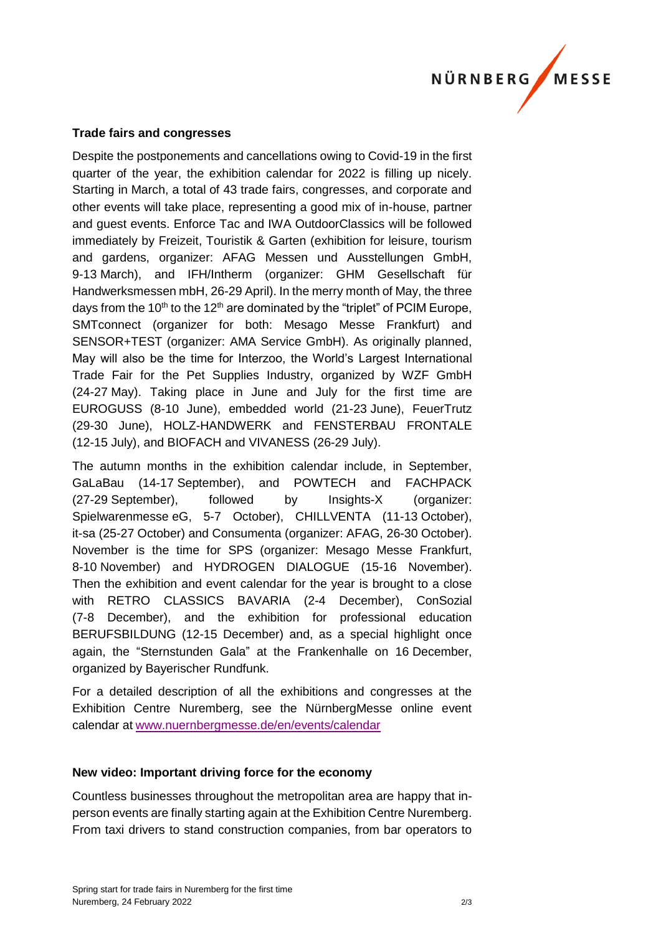

### **Trade fairs and congresses**

Despite the postponements and cancellations owing to Covid-19 in the first quarter of the year, the exhibition calendar for 2022 is filling up nicely. Starting in March, a total of 43 trade fairs, congresses, and corporate and other events will take place, representing a good mix of in-house, partner and guest events. Enforce Tac and IWA OutdoorClassics will be followed immediately by Freizeit, Touristik & Garten (exhibition for leisure, tourism and gardens, organizer: AFAG Messen und Ausstellungen GmbH, 9-13 March), and IFH/Intherm (organizer: GHM Gesellschaft für Handwerksmessen mbH, 26-29 April). In the merry month of May, the three days from the 10<sup>th</sup> to the 12<sup>th</sup> are dominated by the "triplet" of PCIM Europe, SMTconnect (organizer for both: Mesago Messe Frankfurt) and SENSOR+TEST (organizer: AMA Service GmbH). As originally planned, May will also be the time for Interzoo, the World's Largest International Trade Fair for the Pet Supplies Industry, organized by WZF GmbH (24-27 May). Taking place in June and July for the first time are EUROGUSS (8-10 June), embedded world (21-23 June), FeuerTrutz (29-30 June), HOLZ-HANDWERK and FENSTERBAU FRONTALE (12-15 July), and BIOFACH and VIVANESS (26-29 July).

The autumn months in the exhibition calendar include, in September, GaLaBau (14-17 September), and POWTECH and FACHPACK (27-29 September), followed by Insights-X (organizer: Spielwarenmesse eG, 5-7 October), CHILLVENTA (11-13 October), it-sa (25-27 October) and Consumenta (organizer: AFAG, 26-30 October). November is the time for SPS (organizer: Mesago Messe Frankfurt, 8-10 November) and HYDROGEN DIALOGUE (15-16 November). Then the exhibition and event calendar for the year is brought to a close with RETRO CLASSICS BAVARIA (2-4 December), ConSozial (7-8 December), and the exhibition for professional education BERUFSBILDUNG (12-15 December) and, as a special highlight once again, the "Sternstunden Gala" at the Frankenhalle on 16 December, organized by Bayerischer Rundfunk.

For a detailed description of all the exhibitions and congresses at the Exhibition Centre Nuremberg, see the NürnbergMesse online event calendar at [www.nuernbergmesse.de/en/events/calendar](http://www.nuernbergmesse.de/en/events/calendar)

#### **New video: Important driving force for the economy**

Countless businesses throughout the metropolitan area are happy that inperson events are finally starting again at the Exhibition Centre Nuremberg. From taxi drivers to stand construction companies, from bar operators to